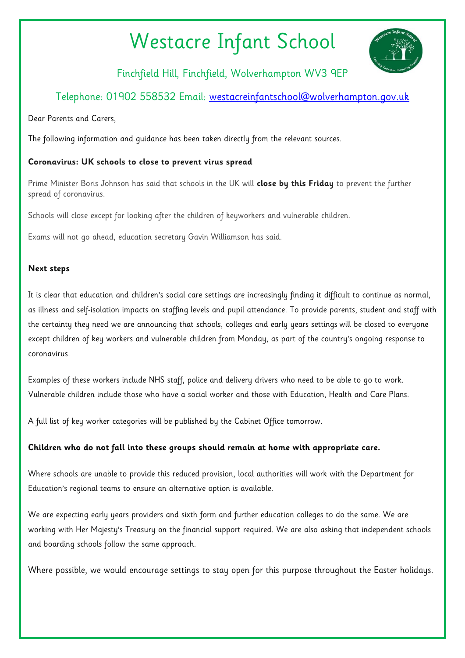# Westacre Infant School



Finchfield Hill, Finchfield, Wolverhampton WV3 9EP

## Telephone: 01902 558532 Email: [westacreinfantschool@wolverhampton.gov.uk](mailto:westacreinfantschool@wolverhampton.gov.uk)

Dear Parents and Carers,

The following information and guidance has been taken directly from the relevant sources.

### **Coronavirus: UK schools to close to prevent virus spread**

Prime Minister Boris Johnson has said that schools in the UK will **[close by this Friday](https://www.bbc.co.uk/news/uk-51952314)** to prevent the further spread of coronavirus.

Schools will close except for looking after the children of keyworkers and vulnerable children.

Exams will not go ahead, education secretary Gavin Williamson has said.

#### **Next steps**

It is clear that education and children's social care settings are increasingly finding it difficult to continue as normal, as illness and self-isolation impacts on staffing levels and pupil attendance. To provide parents, student and staff with the certainty they need we are announcing that schools, colleges and early years settings will be closed to everyone except children of key workers and vulnerable children from Monday, as part of the country's ongoing response to coronavirus.

Examples of these workers include NHS staff, police and delivery drivers who need to be able to go to work. Vulnerable children include those who have a social worker and those with Education, Health and Care Plans.

A full list of key worker categories will be published by the Cabinet Office tomorrow.

### **Children who do not fall into these groups should remain at home with appropriate care.**

Where schools are unable to provide this reduced provision, local authorities will work with the Department for Education's regional teams to ensure an alternative option is available.

We are expecting early years providers and sixth form and further education colleges to do the same. We are working with Her Majesty's Treasury on the financial support required. We are also asking that independent schools and boarding schools follow the same approach.

Where possible, we would encourage settings to stay open for this purpose throughout the Easter holidays.